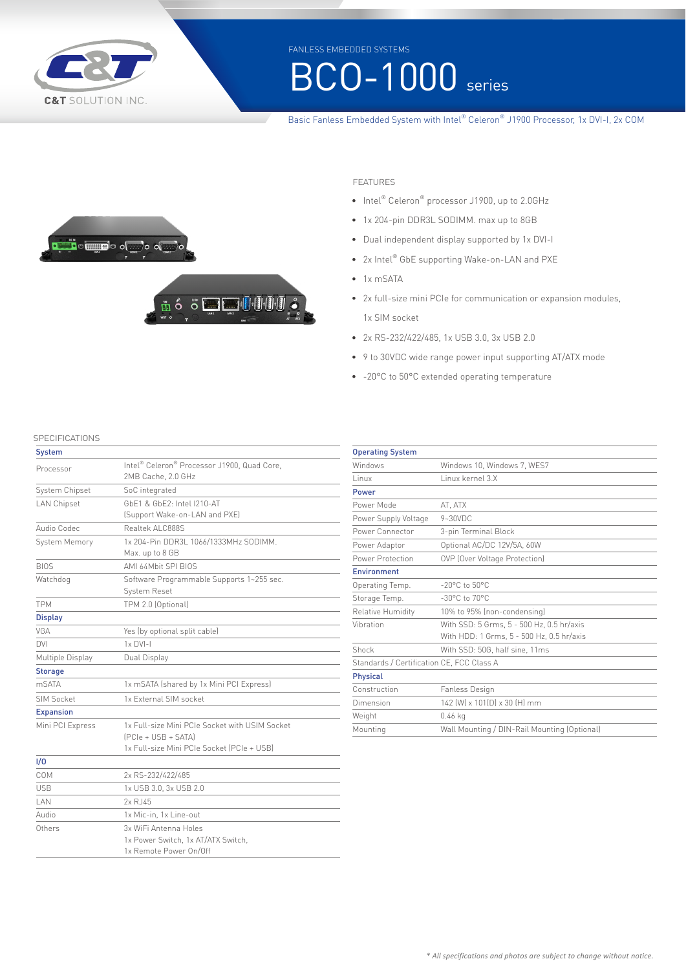

FANLESS EMBEDDED SYSTEMS

# **BCO-1000** series

### Basic Fanless Embedded System with Intel® Celeron® J1900 Processor, 1x DVI-I, 2x COM





- FEATURES
- Intel® Celeron® processor J1900, up to 2.0GHz
- 1x 204-pin DDR3L SODIMM. max up to 8GB
- Dual independent display supported by 1x DVI-I
- 2x Intel® GbE supporting Wake-on-LAN and PXE
- 1x mSATA
- 2x full-size mini PCIe for communication or expansion modules, 1x SIM socket
- 2x RS-232/422/485, 1x USB 3.0, 3x USB 2.0
- 9 to 30VDC wide range power input supporting AT/ATX mode
- -20°C to 50°C extended operating temperature

**SPECIFICATIONS** 

| <b>System</b>      |                                                                                                                       |
|--------------------|-----------------------------------------------------------------------------------------------------------------------|
| Processor          | Intel <sup>®</sup> Celeron <sup>®</sup> Processor J1900, Quad Core,<br>2MB Cache, 2.0 GHz                             |
| System Chipset     | SoC integrated                                                                                                        |
| <b>LAN Chipset</b> | GbF1 & GbF2: Intel I210-AT<br>(Support Wake-on-LAN and PXE)                                                           |
| Audio Codec        | Realtek Al C888S                                                                                                      |
|                    |                                                                                                                       |
| System Memory      | 1x 204-Pin DDR3L 1066/1333MHz SODIMM.<br>Max. up to 8 GB                                                              |
| <b>BIOS</b>        | AMI 64Mbit SPI BIOS                                                                                                   |
| Watchdog           | Software Programmable Supports 1~255 sec.<br>System Reset                                                             |
| <b>TPM</b>         | TPM 2.0 (Optional)                                                                                                    |
| <b>Display</b>     |                                                                                                                       |
| VGA                | Yes (by optional split cable)                                                                                         |
| <b>DVI</b>         | $1x$ DVI-I                                                                                                            |
| Multiple Display   | Dual Display                                                                                                          |
| <b>Storage</b>     |                                                                                                                       |
| mSATA              | 1x mSATA (shared by 1x Mini PCI Express)                                                                              |
| SIM Socket         | 1x External SIM socket                                                                                                |
| <b>Expansion</b>   |                                                                                                                       |
| Mini PCI Express   | 1x Full-size Mini PCIe Socket with USIM Socket<br>$[PC]e + USB + SATA]$<br>1x Full-size Mini PCIe Socket (PCIe + USB) |
| 1/0                |                                                                                                                       |
| COM                | 2x RS-232/422/485                                                                                                     |
| USB                | 1x USB 3.0, 3x USB 2.0                                                                                                |
| I AN               | 2x R.J45                                                                                                              |
| Audio              | 1x Mic-in, 1x Line-out                                                                                                |
| Others             | 3x WiFi Antenna Holes<br>1x Power Switch, 1x AT/ATX Switch,<br>1x Remote Power On/Off                                 |

| <b>Operating System</b>                   |                                                                                        |  |
|-------------------------------------------|----------------------------------------------------------------------------------------|--|
| Windows                                   | Windows 10, Windows 7, WES7                                                            |  |
| Linux                                     | Linux kernel 3.X                                                                       |  |
| Power                                     |                                                                                        |  |
| Power Mode                                | AT, ATX                                                                                |  |
| Power Supply Voltage                      | $9 - 30$ VDC                                                                           |  |
| Power Connector                           | 3-pin Terminal Block                                                                   |  |
| Power Adaptor                             | Optional AC/DC 12V/5A, 60W                                                             |  |
| Power Protection                          | OVP (Over Voltage Protection)                                                          |  |
| <b>Fnvironment</b>                        |                                                                                        |  |
| Operating Temp.                           | $-20^{\circ}$ C to $50^{\circ}$ C                                                      |  |
| Storage Temp.                             | $-30^{\circ}$ C to $70^{\circ}$ C                                                      |  |
| Relative Humidity                         | 10% to 95% (non-condensing)                                                            |  |
| Vibration                                 | With SSD: 5 Grms, 5 - 500 Hz, 0.5 hr/axis<br>With HDD: 1 Grms, 5 - 500 Hz, 0.5 hr/axis |  |
| Shock                                     | With SSD: 50G, half sine, 11ms                                                         |  |
| Standards / Certification CE, FCC Class A |                                                                                        |  |
| Physical                                  |                                                                                        |  |
| Construction                              | Fanless Design                                                                         |  |
| Dimension                                 | 142 (W) x 101(D) x 30 (H) mm                                                           |  |
| Weight                                    | $0.46$ kg                                                                              |  |
| Mounting                                  | Wall Mounting / DIN-Rail Mounting (Optional)                                           |  |